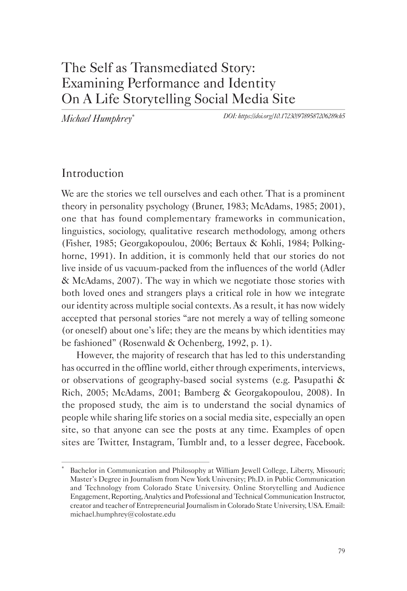# The Self as Transmediated Story: Examining Performance and Identity On A Life Storytelling Social Media Site

*Michael Humphrey*\*

*DOI: https://doi.org/10.17230/9789587206289ch5*

## Introduction

We are the stories we tell ourselves and each other. That is a prominent theory in personality psychology (Bruner, 1983; McAdams, 1985; 2001), one that has found complementary frameworks in communication, linguistics, sociology, qualitative research methodology, among others (Fisher, 1985; Georgakopoulou, 2006; Bertaux & Kohli, 1984; Polkinghorne, 1991). In addition, it is commonly held that our stories do not live inside of us vacuum-packed from the influences of the world (Adler & McAdams, 2007). The way in which we negotiate those stories with both loved ones and strangers plays a critical role in how we integrate our identity across multiple social contexts. As a result, it has now widely accepted that personal stories "are not merely a way of telling someone (or oneself) about one's life; they are the means by which identities may be fashioned" (Rosenwald & Ochenberg, 1992, p. 1).

However, the majority of research that has led to this understanding has occurred in the offline world, either through experiments, interviews, or observations of geography-based social systems (e.g. Pasupathi & Rich, 2005; McAdams, 2001; Bamberg & Georgakopoulou, 2008). In the proposed study, the aim is to understand the social dynamics of people while sharing life stories on a social media site, especially an open site, so that anyone can see the posts at any time. Examples of open sites are Twitter, Instagram, Tumblr and, to a lesser degree, Facebook.

Bachelor in Communication and Philosophy at William Jewell College, Liberty, Missouri; Master's Degree in Journalism from New York University; Ph.D. in Public Communication and Technology from Colorado State University. Online Storytelling and Audience Engagement, Reporting, Analytics and Professional and Technical Communication Instructor, creator and teacher of Entrepreneurial Journalism in Colorado State University, USA. Email: michael.humphrey@colostate.edu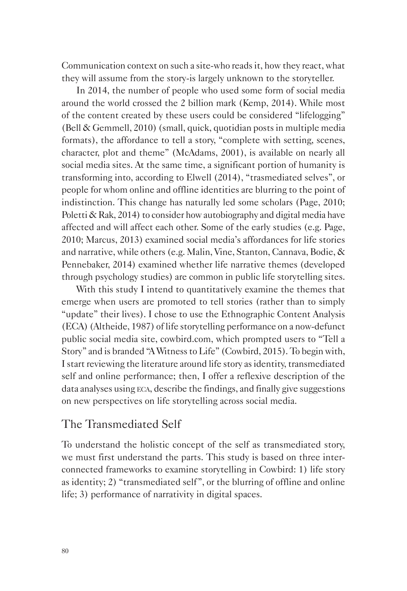Communication context on such a site-who reads it, how they react, what they will assume from the story-is largely unknown to the storyteller.

In 2014, the number of people who used some form of social media around the world crossed the 2 billion mark (Kemp, 2014). While most of the content created by these users could be considered "lifelogging" (Bell & Gemmell, 2010) (small, quick, quotidian posts in multiple media formats), the affordance to tell a story, "complete with setting, scenes, character, plot and theme" (McAdams, 2001), is available on nearly all social media sites. At the same time, a significant portion of humanity is transforming into, according to Elwell (2014), "trasmediated selves", or people for whom online and offline identities are blurring to the point of indistinction. This change has naturally led some scholars (Page, 2010; Poletti & Rak, 2014) to consider how autobiography and digital media have affected and will affect each other. Some of the early studies (e.g. Page, 2010; Marcus, 2013) examined social media's affordances for life stories and narrative, while others (e.g. Malin, Vine, Stanton, Cannava, Bodie, & Pennebaker, 2014) examined whether life narrative themes (developed through psychology studies) are common in public life storytelling sites.

With this study I intend to quantitatively examine the themes that emerge when users are promoted to tell stories (rather than to simply "update" their lives). I chose to use the Ethnographic Content Analysis (ECA) (Altheide, 1987) of life storytelling performance on a now-defunct public social media site, cowbird.com, which prompted users to "Tell a Story" and is branded "A Witness to Life" (Cowbird, 2015). To begin with, I start reviewing the literature around life story as identity, transmediated self and online performance; then, I offer a reflexive description of the data analyses using eca, describe the findings, and finally give suggestions on new perspectives on life storytelling across social media.

### The Transmediated Self

To understand the holistic concept of the self as transmediated story, we must first understand the parts. This study is based on three interconnected frameworks to examine storytelling in Cowbird: 1) life story as identity; 2) "transmediated self", or the blurring of offline and online life; 3) performance of narrativity in digital spaces.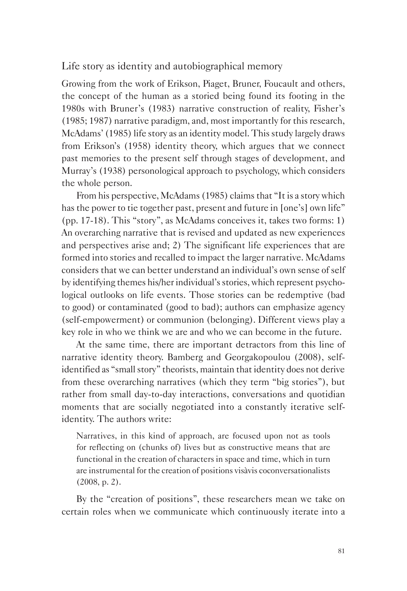Life story as identity and autobiographical memory

Growing from the work of Erikson, Piaget, Bruner, Foucault and others, the concept of the human as a storied being found its footing in the 1980s with Bruner's (1983) narrative construction of reality, Fisher's (1985; 1987) narrative paradigm, and, most importantly for this research, McAdams' (1985) life story as an identity model. This study largely draws from Erikson's (1958) identity theory, which argues that we connect past memories to the present self through stages of development, and Murray's (1938) personological approach to psychology, which considers the whole person.

From his perspective, McAdams (1985) claims that "It is a story which has the power to tie together past, present and future in [one's] own life" (pp. 17-18). This "story", as McAdams conceives it, takes two forms: 1) An overarching narrative that is revised and updated as new experiences and perspectives arise and; 2) The significant life experiences that are formed into stories and recalled to impact the larger narrative. McAdams considers that we can better understand an individual's own sense of self by identifying themes his/her individual's stories, which represent psychological outlooks on life events. Those stories can be redemptive (bad to good) or contaminated (good to bad); authors can emphasize agency (self-empowerment) or communion (belonging). Different views play a key role in who we think we are and who we can become in the future.

At the same time, there are important detractors from this line of narrative identity theory. Bamberg and Georgakopoulou (2008), selfidentified as "small story" theorists, maintain that identity does not derive from these overarching narratives (which they term "big stories"), but rather from small day-to-day interactions, conversations and quotidian moments that are socially negotiated into a constantly iterative selfidentity. The authors write:

Narratives, in this kind of approach, are focused upon not as tools for reflecting on (chunks of) lives but as constructive means that are functional in the creation of characters in space and time, which in turn are instrumental for the creation of positions visàvis coconversationalists (2008, p. 2).

By the "creation of positions", these researchers mean we take on certain roles when we communicate which continuously iterate into a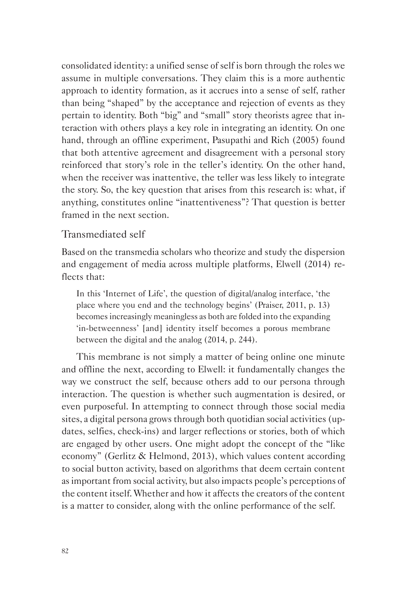consolidated identity: a unified sense of self is born through the roles we assume in multiple conversations. They claim this is a more authentic approach to identity formation, as it accrues into a sense of self, rather than being "shaped" by the acceptance and rejection of events as they pertain to identity. Both "big" and "small" story theorists agree that interaction with others plays a key role in integrating an identity. On one hand, through an offline experiment, Pasupathi and Rich (2005) found that both attentive agreement and disagreement with a personal story reinforced that story's role in the teller's identity. On the other hand, when the receiver was inattentive, the teller was less likely to integrate the story. So, the key question that arises from this research is: what, if anything, constitutes online "inattentiveness"? That question is better framed in the next section.

#### Transmediated self

Based on the transmedia scholars who theorize and study the dispersion and engagement of media across multiple platforms, Elwell (2014) reflects that:

In this 'Internet of Life', the question of digital/analog interface, 'the place where you end and the technology begins' (Praiser, 2011, p. 13) becomes increasingly meaningless as both are folded into the expanding 'in-betweenness' [and] identity itself becomes a porous membrane between the digital and the analog (2014, p. 244).

This membrane is not simply a matter of being online one minute and offline the next, according to Elwell: it fundamentally changes the way we construct the self, because others add to our persona through interaction. The question is whether such augmentation is desired, or even purposeful. In attempting to connect through those social media sites, a digital persona grows through both quotidian social activities (updates, selfies, check-ins) and larger reflections or stories, both of which are engaged by other users. One might adopt the concept of the "like economy" (Gerlitz & Helmond, 2013), which values content according to social button activity, based on algorithms that deem certain content as important from social activity, but also impacts people's perceptions of the content itself. Whether and how it affects the creators of the content is a matter to consider, along with the online performance of the self.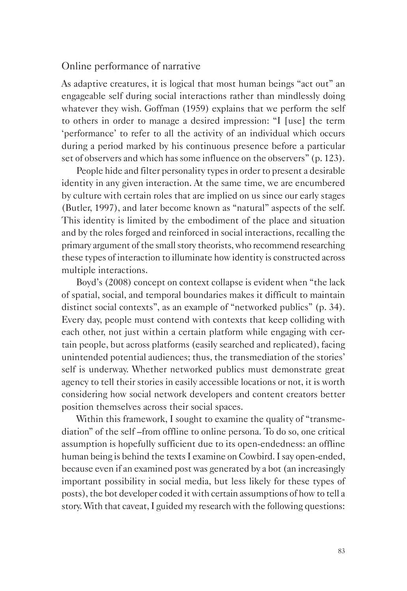#### Online performance of narrative

As adaptive creatures, it is logical that most human beings "act out" an engageable self during social interactions rather than mindlessly doing whatever they wish. Goffman (1959) explains that we perform the self to others in order to manage a desired impression: "I [use] the term 'performance' to refer to all the activity of an individual which occurs during a period marked by his continuous presence before a particular set of observers and which has some influence on the observers" (p. 123).

People hide and filter personality types in order to present a desirable identity in any given interaction. At the same time, we are encumbered by culture with certain roles that are implied on us since our early stages (Butler, 1997), and later become known as "natural" aspects of the self. This identity is limited by the embodiment of the place and situation and by the roles forged and reinforced in social interactions, recalling the primary argument of the small story theorists, who recommend researching these types of interaction to illuminate how identity is constructed across multiple interactions.

Boyd's (2008) concept on context collapse is evident when "the lack of spatial, social, and temporal boundaries makes it difficult to maintain distinct social contexts", as an example of "networked publics" (p. 34). Every day, people must contend with contexts that keep colliding with each other, not just within a certain platform while engaging with certain people, but across platforms (easily searched and replicated), facing unintended potential audiences; thus, the transmediation of the stories' self is underway. Whether networked publics must demonstrate great agency to tell their stories in easily accessible locations or not, it is worth considering how social network developers and content creators better position themselves across their social spaces.

Within this framework, I sought to examine the quality of "transmediation" of the self –from offline to online persona. To do so, one critical assumption is hopefully sufficient due to its open-endedness: an offline human being is behind the texts I examine on Cowbird. I say open-ended, because even if an examined post was generated by a bot (an increasingly important possibility in social media, but less likely for these types of posts), the bot developer coded it with certain assumptions of how to tell a story. With that caveat, I guided my research with the following questions: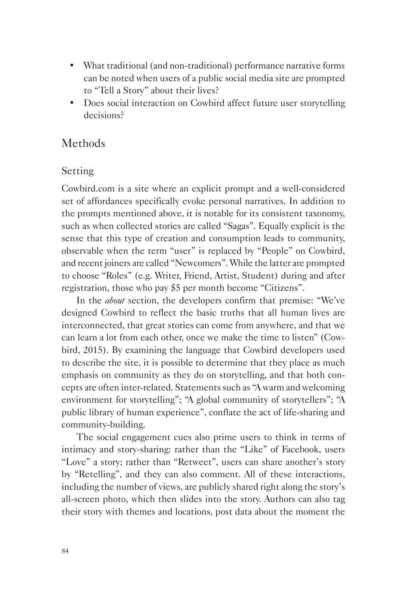- What traditional (and non-traditional) performance narrative forms can be noted when users of a public social media site are prompted to "Tell a Story" about their lives?
- Does social interaction on Cowbird affect future user storytelling decisions?

### **Methods**

#### Setting

Cowbird.com is a site where an explicit prompt and a well-considered set of affordances specifically evoke personal narratives. In addition to the prompts mentioned above, it is notable for its consistent taxonomy, such as when collected stories are called "Sagas". Equally explicit is the sense that this type of creation and consumption leads to community, observable when the term "user" is replaced by "People" on Cowbird, and recent joiners are called "Newcomers". While the latter are prompted to choose "Roles" (e.g. Writer, Friend, Artist, Student) during and after registration, those who pay \$5 per month become "Citizens".

In the *about* section, the developers confirm that premise: "We've designed Cowbird to reflect the basic truths that all human lives are interconnected, that great stories can come from anywhere, and that we can learn a lot from each other, once we make the time to listen" (Cowbird, 2015). By examining the language that Cowbird developers used to describe the site, it is possible to determine that they place as much emphasis on community as they do on storytelling, and that both concepts are often inter-related. Statements such as "A warm and welcoming environment for storytelling"; "A global community of storytellers"; "A public library of human experience", conflate the act of life-sharing and community-building.

The social engagement cues also prime users to think in terms of intimacy and story-sharing: rather than the "Like" of Facebook, users "Love" a story; rather than "Retweet", users can share another's story by "Retelling", and they can also comment. All of these interactions, including the number of views, are publicly shared right along the story's all-screen photo, which then slides into the story. Authors can also tag their story with themes and locations, post data about the moment the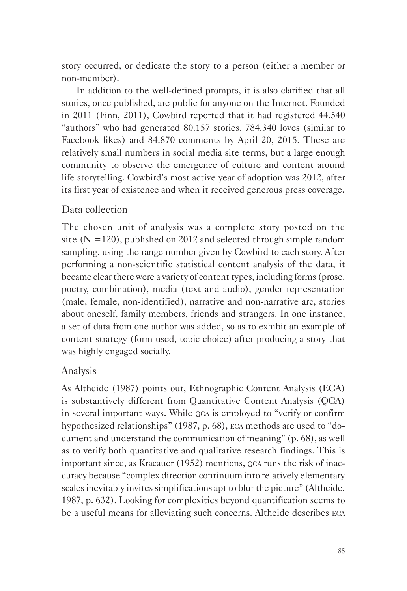story occurred, or dedicate the story to a person (either a member or non-member).

In addition to the well-defined prompts, it is also clarified that all stories, once published, are public for anyone on the Internet. Founded in 2011 (Finn, 2011), Cowbird reported that it had registered 44.540 "authors" who had generated 80.157 stories, 784.340 loves (similar to Facebook likes) and 84.870 comments by April 20, 2015. These are relatively small numbers in social media site terms, but a large enough community to observe the emergence of culture and content around life storytelling. Cowbird's most active year of adoption was 2012, after its first year of existence and when it received generous press coverage.

#### Data collection

The chosen unit of analysis was a complete story posted on the site  $(N = 120)$ , published on 2012 and selected through simple random sampling, using the range number given by Cowbird to each story. After performing a non-scientific statistical content analysis of the data, it became clear there were a variety of content types, including forms (prose, poetry, combination), media (text and audio), gender representation (male, female, non-identified), narrative and non-narrative arc, stories about oneself, family members, friends and strangers. In one instance, a set of data from one author was added, so as to exhibit an example of content strategy (form used, topic choice) after producing a story that was highly engaged socially.

#### Analysis

As Altheide (1987) points out, Ethnographic Content Analysis (ECA) is substantively different from Quantitative Content Analysis (QCA) in several important ways. While  $QCA$  is employed to "verify or confirm hypothesized relationships" (1987, p. 68), eca methods are used to "document and understand the communication of meaning" (p. 68), as well as to verify both quantitative and qualitative research findings. This is important since, as Kracauer (1952) mentions, qca runs the risk of inaccuracy because "complex direction continuum into relatively elementary scales inevitably invites simplifications apt to blur the picture" (Altheide, 1987, p. 632). Looking for complexities beyond quantification seems to be a useful means for alleviating such concerns. Altheide describes eca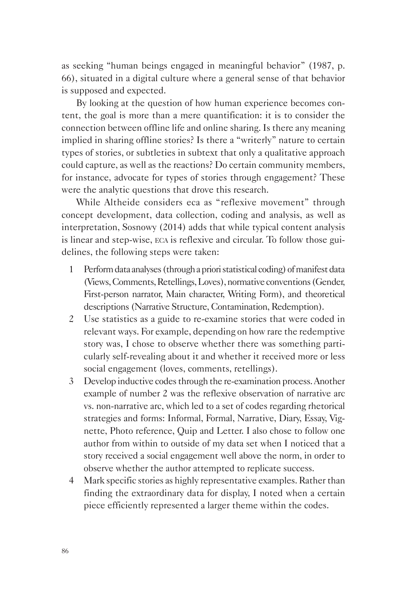as seeking "human beings engaged in meaningful behavior" (1987, p. 66), situated in a digital culture where a general sense of that behavior is supposed and expected.

By looking at the question of how human experience becomes content, the goal is more than a mere quantification: it is to consider the connection between offline life and online sharing. Is there any meaning implied in sharing offline stories? Is there a "writerly" nature to certain types of stories, or subtleties in subtext that only a qualitative approach could capture, as well as the reactions? Do certain community members, for instance, advocate for types of stories through engagement? These were the analytic questions that drove this research.

While Altheide considers eca as "reflexive movement" through concept development, data collection, coding and analysis, as well as interpretation, Sosnowy (2014) adds that while typical content analysis is linear and step-wise, eca is reflexive and circular. To follow those guidelines, the following steps were taken:

- 1 Perform data analyses (through a priori statistical coding) of manifest data (Views, Comments, Retellings, Loves), normative conventions (Gender, First-person narrator, Main character, Writing Form), and theoretical descriptions (Narrative Structure, Contamination, Redemption).
- 2 Use statistics as a guide to re-examine stories that were coded in relevant ways. For example, depending on how rare the redemptive story was, I chose to observe whether there was something particularly self-revealing about it and whether it received more or less social engagement (loves, comments, retellings).
- 3 Develop inductive codes through the re-examination process. Another example of number 2 was the reflexive observation of narrative arc vs. non-narrative arc, which led to a set of codes regarding rhetorical strategies and forms: Informal, Formal, Narrative, Diary, Essay, Vignette, Photo reference, Quip and Letter. I also chose to follow one author from within to outside of my data set when I noticed that a story received a social engagement well above the norm, in order to observe whether the author attempted to replicate success.
- 4 Mark specific stories as highly representative examples. Rather than finding the extraordinary data for display, I noted when a certain piece efficiently represented a larger theme within the codes.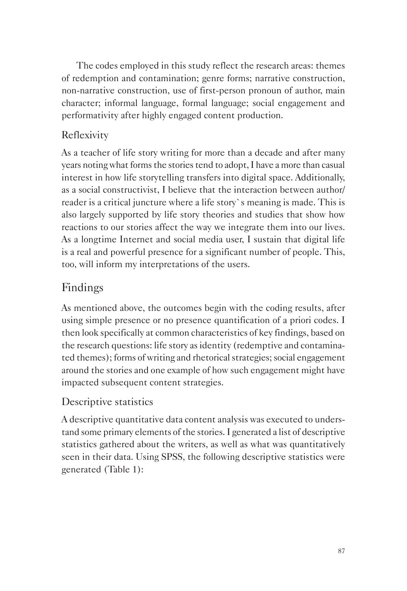The codes employed in this study reflect the research areas: themes of redemption and contamination; genre forms; narrative construction, non-narrative construction, use of first-person pronoun of author, main character; informal language, formal language; social engagement and performativity after highly engaged content production.

## Reflexivity

As a teacher of life story writing for more than a decade and after many years noting what forms the stories tend to adopt, I have a more than casual interest in how life storytelling transfers into digital space. Additionally, as a social constructivist, I believe that the interaction between author/ reader is a critical juncture where a life story`s meaning is made. This is also largely supported by life story theories and studies that show how reactions to our stories affect the way we integrate them into our lives. As a longtime Internet and social media user, I sustain that digital life is a real and powerful presence for a significant number of people. This, too, will inform my interpretations of the users.

# Findings

As mentioned above, the outcomes begin with the coding results, after using simple presence or no presence quantification of a priori codes. I then look specifically at common characteristics of key findings, based on the research questions: life story as identity (redemptive and contaminated themes); forms of writing and rhetorical strategies; social engagement around the stories and one example of how such engagement might have impacted subsequent content strategies.

# Descriptive statistics

A descriptive quantitative data content analysis was executed to understand some primary elements of the stories. I generated a list of descriptive statistics gathered about the writers, as well as what was quantitatively seen in their data. Using SPSS, the following descriptive statistics were generated (Table 1):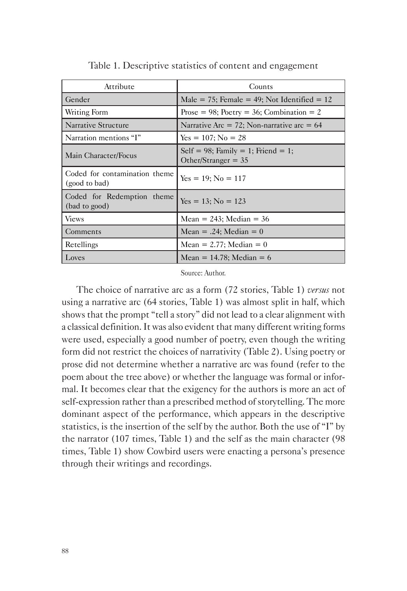| Attribute                                      | Counts                                                      |
|------------------------------------------------|-------------------------------------------------------------|
| Gender                                         | Male = 75; Female = 49; Not Identified = $12$               |
| Writing Form                                   | Prose = 98; Poetry = 36; Combination = 2                    |
| Narrative Structure                            | Narrative Arc = 72; Non-narrative arc = $64$                |
| Narration mentions "I"                         | $Yes = 107; No = 28$                                        |
| Main Character/Focus                           | Self = 98; Family = 1; Friend = 1;<br>Other/Stranger = $35$ |
| Coded for contamination theme<br>(good to bad) | $Yes = 19; No = 117$                                        |
| Coded for Redemption theme<br>(bad to good)    | $Yes = 13; No = 123$                                        |
| <b>Views</b>                                   | Mean = $243$ ; Median = $36$                                |
| Comments                                       | $Mean = .24$ ; Median = 0                                   |
| Retellings                                     | Mean = $2.77$ ; Median = 0                                  |
| Loves                                          | Mean = 14.78; Median = $6$                                  |

Table 1. Descriptive statistics of content and engagement

Source: Author.

The choice of narrative arc as a form (72 stories, Table 1) *versus* not using a narrative arc (64 stories, Table 1) was almost split in half, which shows that the prompt "tell a story" did not lead to a clear alignment with a classical definition. It was also evident that many different writing forms were used, especially a good number of poetry, even though the writing form did not restrict the choices of narrativity (Table 2). Using poetry or prose did not determine whether a narrative arc was found (refer to the poem about the tree above) or whether the language was formal or informal. It becomes clear that the exigency for the authors is more an act of self-expression rather than a prescribed method of storytelling. The more dominant aspect of the performance, which appears in the descriptive statistics, is the insertion of the self by the author. Both the use of "I" by the narrator (107 times, Table 1) and the self as the main character (98 times, Table 1) show Cowbird users were enacting a persona's presence through their writings and recordings.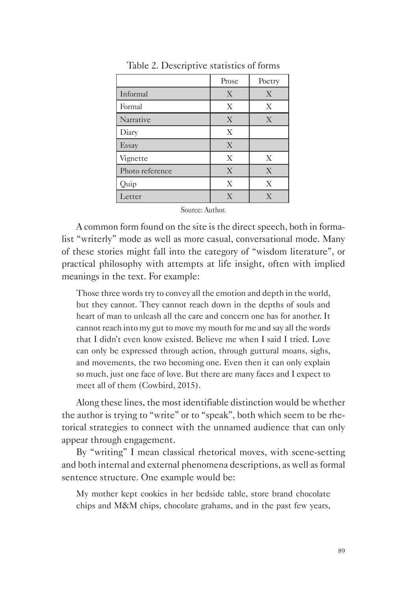|                 | Prose | Poetry       |
|-----------------|-------|--------------|
| Informal        | X     | X            |
| Formal          | X     | X            |
| Narrative       | X     | X            |
| Diary           | X     |              |
| Essay           | X     |              |
| Vignette        | X     | X            |
| Photo reference | X     | $\mathbf{X}$ |
| Quip            | X     | X            |
| Letter          | X     | X            |

Table 2. Descriptive statistics of forms

Source: Author.

A common form found on the site is the direct speech, both in formalist "writerly" mode as well as more casual, conversational mode. Many of these stories might fall into the category of "wisdom literature", or practical philosophy with attempts at life insight, often with implied meanings in the text. For example:

Those three words try to convey all the emotion and depth in the world, but they cannot. They cannot reach down in the depths of souls and heart of man to unleash all the care and concern one has for another. It cannot reach into my gut to move my mouth for me and say all the words that I didn't even know existed. Believe me when I said I tried. Love can only be expressed through action, through guttural moans, sighs, and movements, the two becoming one. Even then it can only explain so much, just one face of love. But there are many faces and I expect to meet all of them (Cowbird, 2015).

Along these lines, the most identifiable distinction would be whether the author is trying to "write" or to "speak", both which seem to be rhetorical strategies to connect with the unnamed audience that can only appear through engagement.

By "writing" I mean classical rhetorical moves, with scene-setting and both internal and external phenomena descriptions, as well as formal sentence structure. One example would be:

My mother kept cookies in her bedside table, store brand chocolate chips and M&M chips, chocolate grahams, and in the past few years,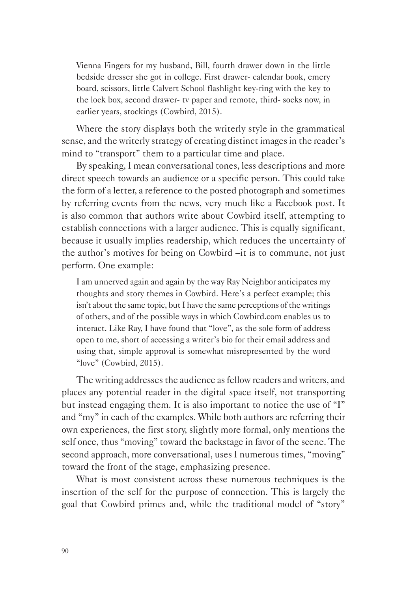Vienna Fingers for my husband, Bill, fourth drawer down in the little bedside dresser she got in college. First drawer- calendar book, emery board, scissors, little Calvert School flashlight key-ring with the key to the lock box, second drawer- tv paper and remote, third- socks now, in earlier years, stockings (Cowbird, 2015).

Where the story displays both the writerly style in the grammatical sense, and the writerly strategy of creating distinct images in the reader's mind to "transport" them to a particular time and place.

By speaking, I mean conversational tones, less descriptions and more direct speech towards an audience or a specific person. This could take the form of a letter, a reference to the posted photograph and sometimes by referring events from the news, very much like a Facebook post. It is also common that authors write about Cowbird itself, attempting to establish connections with a larger audience. This is equally significant, because it usually implies readership, which reduces the uncertainty of the author's motives for being on Cowbird –it is to commune, not just perform. One example:

I am unnerved again and again by the way Ray Neighbor anticipates my thoughts and story themes in Cowbird. Here's a perfect example; this isn't about the same topic, but I have the same perceptions of the writings of others, and of the possible ways in which Cowbird.com enables us to interact. Like Ray, I have found that "love", as the sole form of address open to me, short of accessing a writer's bio for their email address and using that, simple approval is somewhat misrepresented by the word "love" (Cowbird, 2015).

The writing addresses the audience as fellow readers and writers, and places any potential reader in the digital space itself, not transporting but instead engaging them. It is also important to notice the use of "I" and "my" in each of the examples. While both authors are referring their own experiences, the first story, slightly more formal, only mentions the self once, thus "moving" toward the backstage in favor of the scene. The second approach, more conversational, uses I numerous times, "moving" toward the front of the stage, emphasizing presence.

What is most consistent across these numerous techniques is the insertion of the self for the purpose of connection. This is largely the goal that Cowbird primes and, while the traditional model of "story"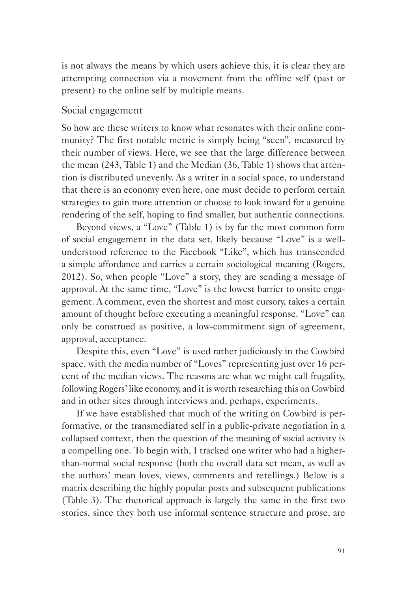is not always the means by which users achieve this, it is clear they are attempting connection via a movement from the offline self (past or present) to the online self by multiple means.

#### Social engagement

So how are these writers to know what resonates with their online community? The first notable metric is simply being "seen", measured by their number of views. Here, we see that the large difference between the mean (243, Table 1) and the Median (36, Table 1) shows that attention is distributed unevenly. As a writer in a social space, to understand that there is an economy even here, one must decide to perform certain strategies to gain more attention or choose to look inward for a genuine rendering of the self, hoping to find smaller, but authentic connections.

Beyond views, a "Love" (Table 1) is by far the most common form of social engagement in the data set, likely because "Love" is a wellunderstood reference to the Facebook "Like", which has transcended a simple affordance and carries a certain sociological meaning (Rogers, 2012). So, when people "Love" a story, they are sending a message of approval. At the same time, "Love" is the lowest barrier to onsite engagement. A comment, even the shortest and most cursory, takes a certain amount of thought before executing a meaningful response. "Love" can only be construed as positive, a low-commitment sign of agreement, approval, acceptance.

Despite this, even "Love" is used rather judiciously in the Cowbird space, with the media number of "Loves" representing just over 16 percent of the median views. The reasons are what we might call frugality, following Rogers' like economy, and it is worth researching this on Cowbird and in other sites through interviews and, perhaps, experiments.

If we have established that much of the writing on Cowbird is performative, or the transmediated self in a public-private negotiation in a collapsed context, then the question of the meaning of social activity is a compelling one. To begin with, I tracked one writer who had a higherthan-normal social response (both the overall data set mean, as well as the authors' mean loves, views, comments and retellings.) Below is a matrix describing the highly popular posts and subsequent publications (Table 3). The rhetorical approach is largely the same in the first two stories, since they both use informal sentence structure and prose, are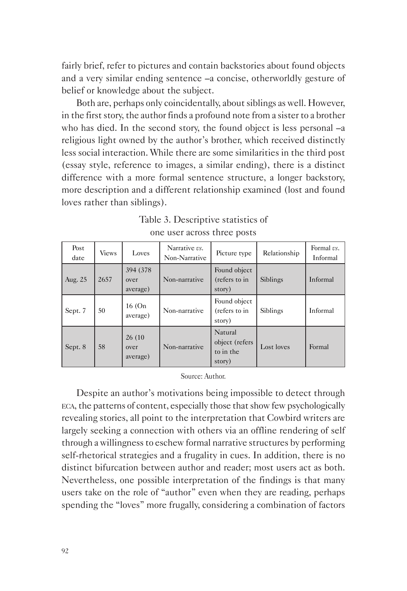fairly brief, refer to pictures and contain backstories about found objects and a very similar ending sentence –a concise, otherworldly gesture of belief or knowledge about the subject.

Both are, perhaps only coincidentally, about siblings as well. However, in the first story, the author finds a profound note from a sister to a brother who has died. In the second story, the found object is less personal  $-a$ religious light owned by the author's brother, which received distinctly less social interaction. While there are some similarities in the third post (essay style, reference to images, a similar ending), there is a distinct difference with a more formal sentence structure, a longer backstory, more description and a different relationship examined (lost and found loves rather than siblings).

| Post<br>date | <b>Views</b> | Loves                         | Narrative vs.<br>Non-Narrative | Picture type                                     | Relationship | Formal vs.<br>Informal |
|--------------|--------------|-------------------------------|--------------------------------|--------------------------------------------------|--------------|------------------------|
| Aug. 25      | 2657         | 394 (378)<br>over<br>average) | Non-narrative                  | Found object<br>(refers to in<br>story)          | Siblings     | Informal               |
| Sept. 7      | 50           | 16 (On<br>average)            | Non-narrative                  | Found object<br>(refers to in<br>story)          | Siblings     | Informal               |
| Sept. 8      | 58           | 26 (10)<br>over<br>average)   | Non-narrative                  | Natural<br>object (refers<br>to in the<br>story) | Lost loves   | Formal                 |

| Table 3. Descriptive statistics of |  |
|------------------------------------|--|
| one user across three posts        |  |

Source: Author.

Despite an author's motivations being impossible to detect through eca, the patterns of content, especially those that show few psychologically revealing stories, all point to the interpretation that Cowbird writers are largely seeking a connection with others via an offline rendering of self through a willingness to eschew formal narrative structures by performing self-rhetorical strategies and a frugality in cues. In addition, there is no distinct bifurcation between author and reader; most users act as both. Nevertheless, one possible interpretation of the findings is that many users take on the role of "author" even when they are reading, perhaps spending the "loves" more frugally, considering a combination of factors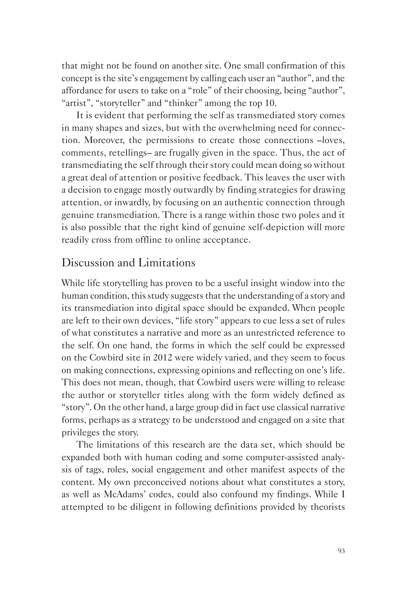that might not be found on another site. One small confirmation of this concept is the site's engagement by calling each user an "author", and the affordance for users to take on a "role" of their choosing, being "author", "artist", "storyteller" and "thinker" among the top 10.

It is evident that performing the self as transmediated story comes in many shapes and sizes, but with the overwhelming need for connection. Moreover, the permissions to create those connections –loves, comments, retellings– are frugally given in the space. Thus, the act of transmediating the self through their story could mean doing so without a great deal of attention or positive feedback. This leaves the user with a decision to engage mostly outwardly by finding strategies for drawing attention, or inwardly, by focusing on an authentic connection through genuine transmediation. There is a range within those two poles and it is also possible that the right kind of genuine self-depiction will more readily cross from offline to online acceptance.

### Discussion and Limitations

While life storytelling has proven to be a useful insight window into the human condition, this study suggests that the understanding of a story and its transmediation into digital space should be expanded. When people are left to their own devices, "life story" appears to cue less a set of rules of what constitutes a narrative and more as an unrestricted reference to the self. On one hand, the forms in which the self could be expressed on the Cowbird site in 2012 were widely varied, and they seem to focus on making connections, expressing opinions and reflecting on one's life. This does not mean, though, that Cowbird users were willing to release the author or storyteller titles along with the form widely defined as "story". On the other hand, a large group did in fact use classical narrative forms, perhaps as a strategy to be understood and engaged on a site that privileges the story.

The limitations of this research are the data set, which should be expanded both with human coding and some computer-assisted analysis of tags, roles, social engagement and other manifest aspects of the content. My own preconceived notions about what constitutes a story, as well as McAdams' codes, could also confound my findings. While I attempted to be diligent in following definitions provided by theorists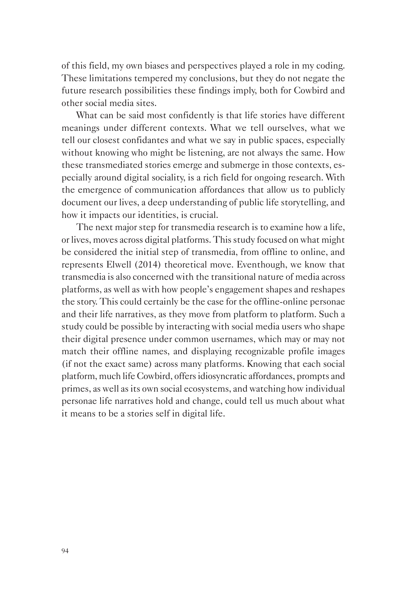of this field, my own biases and perspectives played a role in my coding. These limitations tempered my conclusions, but they do not negate the future research possibilities these findings imply, both for Cowbird and other social media sites.

What can be said most confidently is that life stories have different meanings under different contexts. What we tell ourselves, what we tell our closest confidantes and what we say in public spaces, especially without knowing who might be listening, are not always the same. How these transmediated stories emerge and submerge in those contexts, especially around digital sociality, is a rich field for ongoing research. With the emergence of communication affordances that allow us to publicly document our lives, a deep understanding of public life storytelling, and how it impacts our identities, is crucial.

The next major step for transmedia research is to examine how a life, or lives, moves across digital platforms. This study focused on what might be considered the initial step of transmedia, from offline to online, and represents Elwell (2014) theoretical move. Eventhough, we know that transmedia is also concerned with the transitional nature of media across platforms, as well as with how people's engagement shapes and reshapes the story. This could certainly be the case for the offline-online personae and their life narratives, as they move from platform to platform. Such a study could be possible by interacting with social media users who shape their digital presence under common usernames, which may or may not match their offline names, and displaying recognizable profile images (if not the exact same) across many platforms. Knowing that each social platform, much life Cowbird, offers idiosyncratic affordances, prompts and primes, as well as its own social ecosystems, and watching how individual personae life narratives hold and change, could tell us much about what it means to be a stories self in digital life.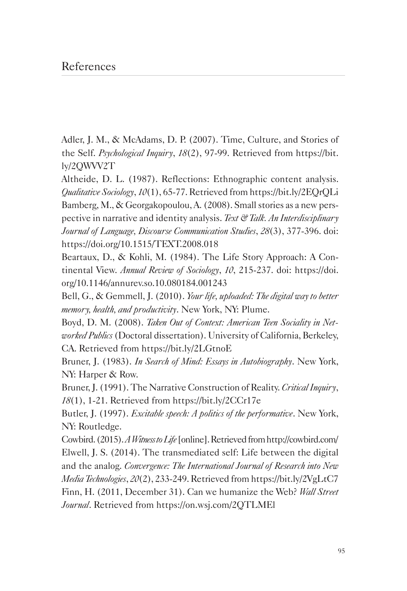Adler, J. M., & McAdams, D. P. (2007). Time, Culture, and Stories of the Self. *Psychological Inquiry*, *18*(2), 97-99. Retrieved from https://bit. ly/2QWVV2T

Altheide, D. L. (1987). Reflections: Ethnographic content analysis. *Qualitative Sociology*, *10*(1), 65-77. Retrieved from https://bit.ly/2EQrQLi Bamberg, M., & Georgakopoulou, A. (2008). Small stories as a new perspective in narrative and identity analysis. *Text & Talk. An Interdisciplinary Journal of Language, Discourse Communication Studies*, *28*(3), 377-396. doi: https://doi.org/10.1515/TEXT.2008.018

Beartaux, D., & Kohli, M. (1984). The Life Story Approach: A Continental View. *Annual Review of Sociology*, *10*, 215-237. doi: https://doi. org/10.1146/annurev.so.10.080184.001243

Bell, G., & Gemmell, J. (2010). *Your life, uploaded: The digital way to better memory, health, and productivity*. New York, NY: Plume.

Boyd, D. M. (2008). *Taken Out of Context: American Teen Sociality in Networked Publics* (Doctoral dissertation). University of California, Berkeley, CA. Retrieved from https://bit.ly/2LGtnoE

Bruner, J. (1983). *In Search of Mind: Essays in Autobiography*. New York, NY: Harper & Row.

Bruner, J. (1991). The Narrative Construction of Reality. *Critical Inquiry*, *18*(1), 1-21. Retrieved from https://bit.ly/2CCr17e

Butler, J. (1997). *Excitable speech: A politics of the performative*. New York, NY: Routledge.

Cowbird. (2015). *A Witness to Life* [online]. Retrieved from http://cowbird.com/ Elwell, J. S. (2014). The transmediated self: Life between the digital and the analog. *Convergence: The International Journal of Research into New Media Technologies*, *20*(2), 233-249. Retrieved from https://bit.ly/2VgLtC7 Finn, H. (2011, December 31). Can we humanize the Web? *Wall Street Journal*. Retrieved from https://on.wsj.com/2QTLMEl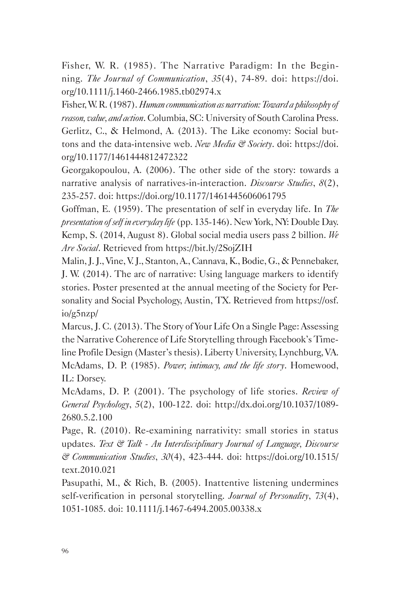Fisher, W. R. (1985). The Narrative Paradigm: In the Beginning. *The Journal of Communication*, *35*(4), 74-89. doi: https://doi. org/10.1111/j.1460-2466.1985.tb02974.x

Fisher, W. R. (1987). *Human communication as narration: Toward a philosophy of reason, value, and action*. Columbia, SC: University of South Carolina Press. Gerlitz, C., & Helmond, A. (2013). The Like economy: Social buttons and the data-intensive web. *New Media & Society*. doi: https://doi. org/10.1177/1461444812472322

Georgakopoulou, A. (2006). The other side of the story: towards a narrative analysis of narratives-in-interaction. *Discourse Studies*, *8*(2), 235-257. doi: https://doi.org/10.1177/1461445606061795

Goffman, E. (1959). The presentation of self in everyday life. In *The presentation of self in everyday life* (pp. 135-146). New York, NY: Double Day. Kemp, S. (2014, August 8). Global social media users pass 2 billion. *We Are Social*. Retrieved from https://bit.ly/2SojZIH

Malin, J. J., Vine, V. J., Stanton, A., Cannava, K., Bodie, G., & Pennebaker, J. W. (2014). The arc of narrative: Using language markers to identify stories. Poster presented at the annual meeting of the Society for Personality and Social Psychology, Austin, TX. Retrieved from https://osf. io/g5nzp/

Marcus, J. C. (2013). The Story of Your Life On a Single Page: Assessing the Narrative Coherence of Life Storytelling through Facebook's Timeline Profile Design (Master's thesis). Liberty University, Lynchburg, VA. McAdams, D. P. (1985). *Power, intimacy, and the life story*. Homewood, IL: Dorsey.

McAdams, D. P. (2001). The psychology of life stories. *Review of General Psychology*, *5*(2), 100-122. doi: http://dx.doi.org/10.1037/1089- 2680.5.2.100

Page, R. (2010). Re-examining narrativity: small stories in status updates. *Text & Talk - An Interdisciplinary Journal of Language, Discourse & Communication Studies*, *30*(4), 423-444. doi: https://doi.org/10.1515/ text.2010.021

Pasupathi, M., & Rich, B. (2005). Inattentive listening undermines self-verification in personal storytelling. *Journal of Personality*, *73*(4), 1051-1085. doi: 10.1111/j.1467-6494.2005.00338.x